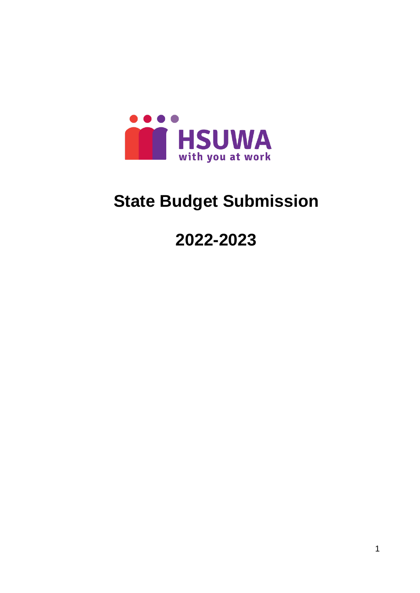

# **State Budget Submission**

**2022-2023**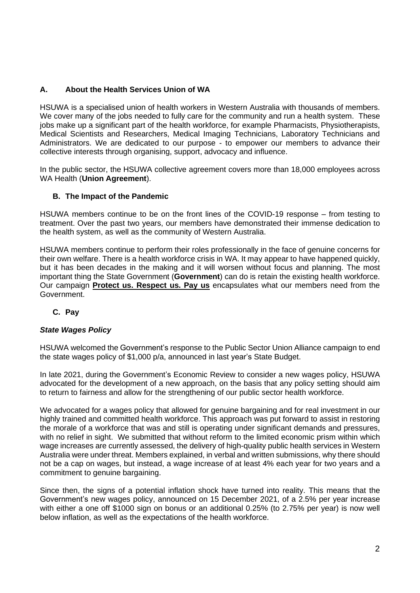# **A. About the Health Services Union of WA**

HSUWA is a specialised union of health workers in Western Australia with thousands of members. We cover many of the jobs needed to fully care for the community and run a health system. These jobs make up a significant part of the health workforce, for example Pharmacists, Physiotherapists, Medical Scientists and Researchers, Medical Imaging Technicians, Laboratory Technicians and Administrators. We are dedicated to our purpose - to empower our members to advance their collective interests through organising, support, advocacy and influence.

In the public sector, the HSUWA collective agreement covers more than 18,000 employees across WA Health (**Union Agreement**).

# **B. The Impact of the Pandemic**

HSUWA members continue to be on the front lines of the COVID-19 response – from testing to treatment. Over the past two years, our members have demonstrated their immense dedication to the health system, as well as the community of Western Australia.

HSUWA members continue to perform their roles professionally in the face of genuine concerns for their own welfare. There is a health workforce crisis in WA. It may appear to have happened quickly, but it has been decades in the making and it will worsen without focus and planning. The most important thing the State Government (**Government**) can do is retain the existing health workforce. Our campaign **Protect us. [Respect](https://hsuwa.com.au/campaigns/protect-us-respect-us.-pay-us.) us. Pay us** encapsulates what our members need from the Government.

# **C. Pay**

## *State Wages Policy*

HSUWA welcomed the Government's response to the Public Sector Union Alliance campaign to end the state wages policy of \$1,000 p/a, announced in last year's State Budget.

In late 2021, during the Government's Economic Review to consider a new wages policy, HSUWA advocated for the development of a new approach, on the basis that any policy setting should aim to return to fairness and allow for the strengthening of our public sector health workforce.

We advocated for a wages policy that allowed for genuine bargaining and for real investment in our highly trained and committed health workforce. This approach was put forward to assist in restoring the morale of a workforce that was and still is operating under significant demands and pressures, with no relief in sight. We submitted that without reform to the limited economic prism within which wage increases are currently assessed, the delivery of high-quality public health services in Western Australia were under threat. Members explained, in verbal and written submissions, why there should not be a cap on wages, but instead, a wage increase of at least 4% each year for two years and a commitment to genuine bargaining.

Since then, the signs of a potential inflation shock have turned into reality. This means that the Government's new wages policy, announced on 15 December 2021, of a 2.5% per year increase with either a one off \$1000 sign on bonus or an additional 0.25% (to 2.75% per year) is now well below inflation, as well as the expectations of the health workforce.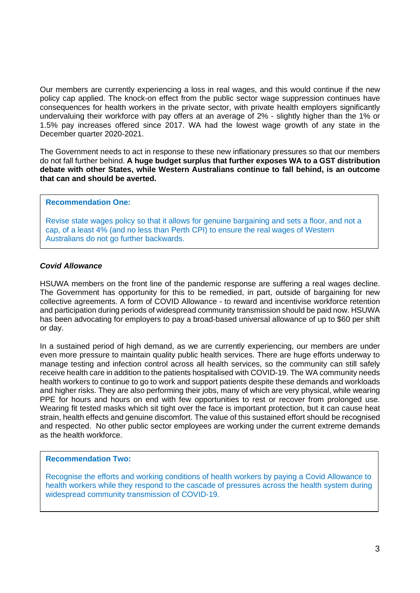Our members are currently experiencing a loss in real wages, and this would continue if the new policy cap applied. The knock-on effect from the public sector wage suppression continues have consequences for health workers in the private sector, with private health employers significantly undervaluing their workforce with pay offers at an average of 2% - slightly higher than the 1% or 1.5% pay increases offered since 2017. WA had the lowest wage growth of any state in the December quarter 2020-2021.

The Government needs to act in response to these new inflationary pressures so that our members do not fall further behind. **A huge budget surplus that further exposes WA to a GST distribution debate with other States, while Western Australians continue to fall behind, is an outcome that can and should be averted.**

#### **Recommendation One:**

Revise state wages policy so that it allows for genuine bargaining and sets a floor, and not a cap, of a least 4% (and no less than Perth CPI) to ensure the real wages of Western Australians do not go further backwards.

## *Covid Allowance*

HSUWA members on the front line of the pandemic response are suffering a real wages decline. The Government has opportunity for this to be remedied, in part, outside of bargaining for new collective agreements. A form of COVID Allowance - to reward and incentivise workforce retention and participation during periods of widespread community transmission should be paid now. HSUWA has been advocating for employers to pay a broad-based universal allowance of up to \$60 per shift or day.

In a sustained period of high demand, as we are currently experiencing, our members are under even more pressure to maintain quality public health services. There are huge efforts underway to manage testing and infection control across all health services, so the community can still safely receive health care in addition to the patients hospitalised with COVID-19. The WA community needs health workers to continue to go to work and support patients despite these demands and workloads and higher risks. They are also performing their jobs, many of which are very physical, while wearing PPE for hours and hours on end with few opportunities to rest or recover from prolonged use. Wearing fit tested masks which sit tight over the face is important protection, but it can cause heat strain, health effects and genuine discomfort. The value of this sustained effort should be recognised and respected. No other public sector employees are working under the current extreme demands as the health workforce.

## **Recommendation Two:**

Recognise the efforts and working conditions of health workers by paying a Covid Allowance to health workers while they respond to the cascade of pressures across the health system during widespread community transmission of COVID-19.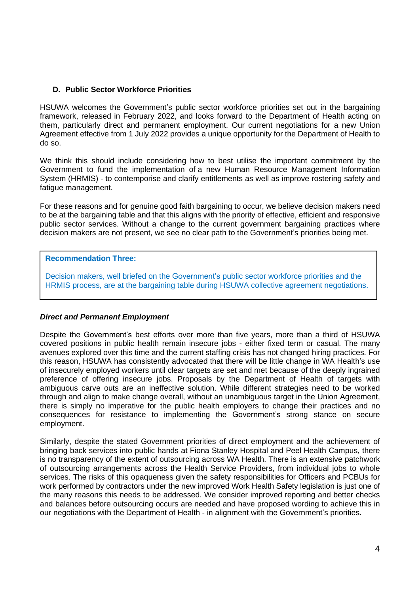## **D. Public Sector Workforce Priorities**

HSUWA welcomes the Government's public sector workforce priorities set out in the bargaining framework, released in February 2022, and looks forward to the Department of Health acting on them, particularly direct and permanent employment. Our current negotiations for a new Union Agreement effective from 1 July 2022 provides a unique opportunity for the Department of Health to do so.

We think this should include considering how to best utilise the important commitment by the Government to fund the implementation of a new Human Resource Management Information System (HRMIS) - to contemporise and clarify entitlements as well as improve rostering safety and fatigue management.

For these reasons and for genuine good faith bargaining to occur, we believe decision makers need to be at the bargaining table and that this aligns with the priority of effective, efficient and responsive public sector services. Without a change to the current government bargaining practices where decision makers are not present, we see no clear path to the Government's priorities being met.

## **Recommendation Three:**

Decision makers, well briefed on the Government's public sector workforce priorities and the HRMIS process, are at the bargaining table during HSUWA collective agreement negotiations.

## *Direct and Permanent Employment*

Despite the Government's best efforts over more than five years, more than a third of HSUWA covered positions in public health remain insecure jobs - either fixed term or casual. The many avenues explored over this time and the current staffing crisis has not changed hiring practices. For this reason, HSUWA has consistently advocated that there will be little change in WA Health's use of insecurely employed workers until clear targets are set and met because of the deeply ingrained preference of offering insecure jobs. Proposals by the Department of Health of targets with ambiguous carve outs are an ineffective solution. While different strategies need to be worked through and align to make change overall, without an unambiguous target in the Union Agreement, there is simply no imperative for the public health employers to change their practices and no consequences for resistance to implementing the Government's strong stance on secure employment.

Similarly, despite the stated Government priorities of direct employment and the achievement of bringing back services into public hands at Fiona Stanley Hospital and Peel Health Campus, there is no transparency of the extent of outsourcing across WA Health. There is an extensive patchwork of outsourcing arrangements across the Health Service Providers, from individual jobs to whole services. The risks of this opaqueness given the safety responsibilities for Officers and PCBUs for work performed by contractors under the new improved Work Health Safety legislation is just one of the many reasons this needs to be addressed. We consider improved reporting and better checks and balances before outsourcing occurs are needed and have proposed wording to achieve this in our negotiations with the Department of Health - in alignment with the Government's priorities.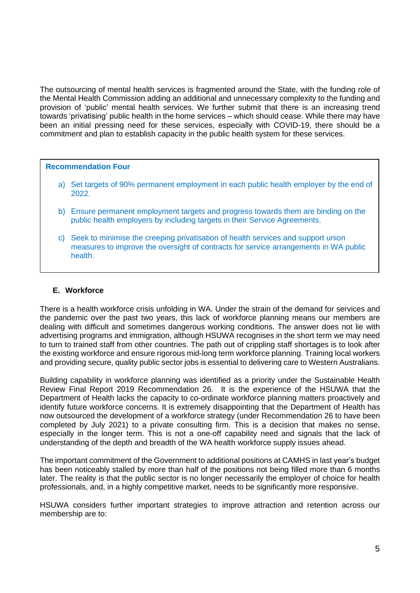The outsourcing of mental health services is fragmented around the State, with the funding role of the Mental Health Commission adding an additional and unnecessary complexity to the funding and provision of 'public' mental health services. We further submit that there is an increasing trend towards 'privatising' public health in the home services – which should cease. While there may have been an initial pressing need for these services, especially with COVID-19, there should be a commitment and plan to establish capacity in the public health system for these services.

#### **Recommendation Four**

- a) Set targets of 90% permanent employment in each public health employer by the end of 2022.
- b) Ensure permanent employment targets and progress towards them are binding on the public health employers by including targets in their Service Agreements.
- c) Seek to minimise the creeping privatisation of health services and support union measures to improve the oversight of contracts for service arrangements in WA public health.

## **E. Workforce**

There is a health workforce crisis unfolding in WA. Under the strain of the demand for services and the pandemic over the past two years, this lack of workforce planning means our members are dealing with difficult and sometimes dangerous working conditions. The answer does not lie with advertising programs and immigration, although HSUWA recognises in the short term we may need to turn to trained staff from other countries. The path out of crippling staff shortages is to look after the existing workforce and ensure rigorous mid-long term workforce planning. Training local workers and providing secure, quality public sector jobs is essential to delivering care to Western Australians.

Building capability in workforce planning was identified as a priority under the Sustainable Health Review Final Report 2019 Recommendation 26. It is the experience of the HSUWA that the Department of Health lacks the capacity to co-ordinate workforce planning matters proactively and identify future workforce concerns. It is extremely disappointing that the Department of Health has now outsourced the development of a workforce strategy (under Recommendation 26 to have been completed by July 2021) to a private consulting firm. This is a decision that makes no sense, especially in the longer term. This is not a one-off capability need and signals that the lack of understanding of the depth and breadth of the WA health workforce supply issues ahead.

The important commitment of the Government to additional positions at CAMHS in last year's budget has been noticeably stalled by more than half of the positions not being filled more than 6 months later. The reality is that the public sector is no longer necessarily the employer of choice for health professionals, and, in a highly competitive market, needs to be significantly more responsive.

HSUWA considers further important strategies to improve attraction and retention across our membership are to: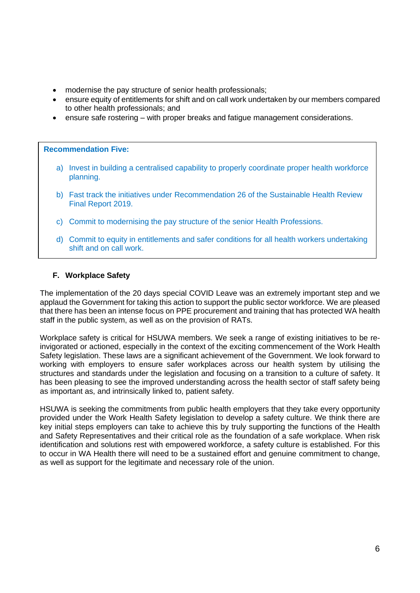- modernise the pay structure of senior health professionals;
- ensure equity of entitlements for shift and on call work undertaken by our members compared to other health professionals; and
- ensure safe rostering with proper breaks and fatigue management considerations.

## **Recommendation Five:**

- a) Invest in building a centralised capability to properly coordinate proper health workforce planning.
- b) Fast track the initiatives under Recommendation 26 of the Sustainable Health Review Final Report 2019.
- c) Commit to modernising the pay structure of the senior Health Professions.
- d) Commit to equity in entitlements and safer conditions for all health workers undertaking shift and on call work.

## **F. Workplace Safety**

The implementation of the 20 days special COVID Leave was an extremely important step and we applaud the Government for taking this action to support the public sector workforce. We are pleased that there has been an intense focus on PPE procurement and training that has protected WA health staff in the public system, as well as on the provision of RATs.

Workplace safety is critical for HSUWA members. We seek a range of existing initiatives to be reinvigorated or actioned, especially in the context of the exciting commencement of the Work Health Safety legislation. These laws are a significant achievement of the Government. We look forward to working with employers to ensure safer workplaces across our health system by utilising the structures and standards under the legislation and focusing on a transition to a culture of safety. It has been pleasing to see the improved understanding across the health sector of staff safety being as important as, and intrinsically linked to, patient safety.

HSUWA is seeking the commitments from public health employers that they take every opportunity provided under the Work Health Safety legislation to develop a safety culture. We think there are key initial steps employers can take to achieve this by truly supporting the functions of the Health and Safety Representatives and their critical role as the foundation of a safe workplace. When risk identification and solutions rest with empowered workforce, a safety culture is established. For this to occur in WA Health there will need to be a sustained effort and genuine commitment to change, as well as support for the legitimate and necessary role of the union.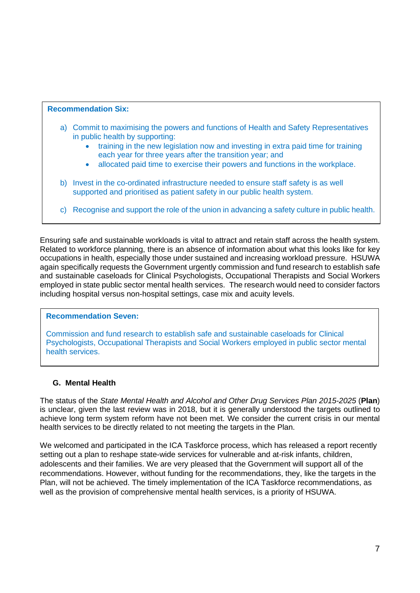## **Recommendation Six:**

- a) Commit to maximising the powers and functions of Health and Safety Representatives in public health by supporting:
	- training in the new legislation now and investing in extra paid time for training each year for three years after the transition year; and
	- allocated paid time to exercise their powers and functions in the workplace.
- b) Invest in the co-ordinated infrastructure needed to ensure staff safety is as well supported and prioritised as patient safety in our public health system.
- c) Recognise and support the role of the union in advancing a safety culture in public health.

Ensuring safe and sustainable workloads is vital to attract and retain staff across the health system. Related to workforce planning, there is an absence of information about what this looks like for key occupations in health, especially those under sustained and increasing workload pressure. HSUWA again specifically requests the Government urgently commission and fund research to establish safe and sustainable caseloads for Clinical Psychologists, Occupational Therapists and Social Workers employed in state public sector mental health services. The research would need to consider factors including hospital versus non-hospital settings, case mix and acuity levels.

## **Recommendation Seven:**

Commission and fund research to establish safe and sustainable caseloads for Clinical Psychologists, Occupational Therapists and Social Workers employed in public sector mental health services.

# **G. Mental Health**

The status of the *State Mental Health and Alcohol and Other Drug Services Plan 2015-2025* (**Plan**) is unclear, given the last review was in 2018, but it is generally understood the targets outlined to achieve long term system reform have not been met. We consider the current crisis in our mental health services to be directly related to not meeting the targets in the Plan.

We welcomed and participated in the ICA Taskforce process, which has released a report recently setting out a plan to reshape state-wide services for vulnerable and at-risk infants, children, adolescents and their families. We are very pleased that the Government will support all of the recommendations. However, without funding for the recommendations, they, like the targets in the Plan, will not be achieved. The timely implementation of the ICA Taskforce recommendations, as well as the provision of comprehensive mental health services, is a priority of HSUWA.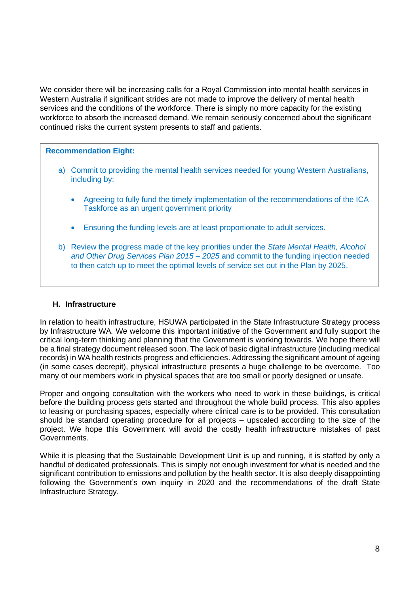We consider there will be increasing calls for a Royal Commission into mental health services in Western Australia if significant strides are not made to improve the delivery of mental health services and the conditions of the workforce. There is simply no more capacity for the existing workforce to absorb the increased demand. We remain seriously concerned about the significant continued risks the current system presents to staff and patients.

## **Recommendation Eight:**

- a) Commit to providing the mental health services needed for young Western Australians, including by:
	- Agreeing to fully fund the timely implementation of the recommendations of the ICA Taskforce as an urgent government priority
	- Ensuring the funding levels are at least proportionate to adult services.
- b) Review the progress made of the key priorities under the *State Mental Health, Alcohol and Other Drug Services Plan 2015 – 2025* and commit to the funding injection needed to then catch up to meet the optimal levels of service set out in the Plan by 2025.

## **H. Infrastructure**

In relation to health infrastructure, HSUWA participated in the State Infrastructure Strategy process by Infrastructure WA*.* We welcome this important initiative of the Government and fully support the critical long-term thinking and planning that the Government is working towards. We hope there will be a final strategy document released soon. The lack of basic digital infrastructure (including medical records) in WA health restricts progress and efficiencies. Addressing the significant amount of ageing (in some cases decrepit), physical infrastructure presents a huge challenge to be overcome. Too many of our members work in physical spaces that are too small or poorly designed or unsafe.

Proper and ongoing consultation with the workers who need to work in these buildings, is critical before the building process gets started and throughout the whole build process. This also applies to leasing or purchasing spaces, especially where clinical care is to be provided. This consultation should be standard operating procedure for all projects – upscaled according to the size of the project. We hope this Government will avoid the costly health infrastructure mistakes of past Governments.

While it is pleasing that the Sustainable Development Unit is up and running, it is staffed by only a handful of dedicated professionals. This is simply not enough investment for what is needed and the significant contribution to emissions and pollution by the health sector. It is also deeply disappointing following the Government's own inquiry in 2020 and the recommendations of the draft State Infrastructure Strategy.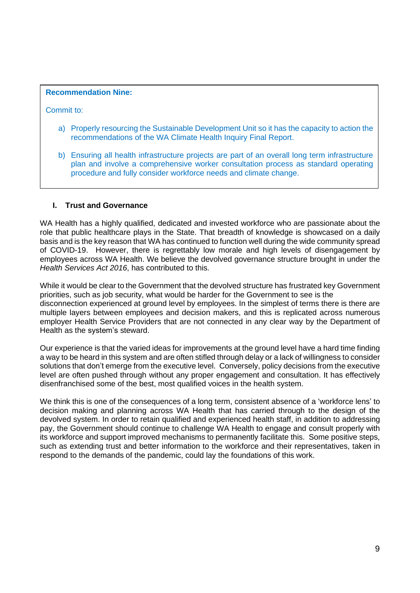#### **Recommendation Nine:**

Commit to:

- a) Properly resourcing the Sustainable Development Unit so it has the capacity to action the recommendations of the WA Climate Health Inquiry Final Report.
- b) Ensuring all health infrastructure projects are part of an overall long term infrastructure plan and involve a comprehensive worker consultation process as standard operating procedure and fully consider workforce needs and climate change.

## **I. Trust and Governance**

WA Health has a highly qualified, dedicated and invested workforce who are passionate about the role that public healthcare plays in the State. That breadth of knowledge is showcased on a daily basis and is the key reason that WA has continued to function well during the wide community spread of COVID-19. However, there is regrettably low morale and high levels of disengagement by employees across WA Health. We believe the devolved governance structure brought in under the *Health Services Act 2016*, has contributed to this.

While it would be clear to the Government that the devolved structure has frustrated key Government priorities, such as job security, what would be harder for the Government to see is the disconnection experienced at ground level by employees. In the simplest of terms there is there are multiple layers between employees and decision makers, and this is replicated across numerous employer Health Service Providers that are not connected in any clear way by the Department of Health as the system's steward.

Our experience is that the varied ideas for improvements at the ground level have a hard time finding a way to be heard in this system and are often stifled through delay or a lack of willingness to consider solutions that don't emerge from the executive level. Conversely, policy decisions from the executive level are often pushed through without any proper engagement and consultation. It has effectively disenfranchised some of the best, most qualified voices in the health system.

We think this is one of the consequences of a long term, consistent absence of a 'workforce lens' to decision making and planning across WA Health that has carried through to the design of the devolved system. In order to retain qualified and experienced health staff, in addition to addressing pay, the Government should continue to challenge WA Health to engage and consult properly with its workforce and support improved mechanisms to permanently facilitate this. Some positive steps, such as extending trust and better information to the workforce and their representatives, taken in respond to the demands of the pandemic, could lay the foundations of this work.